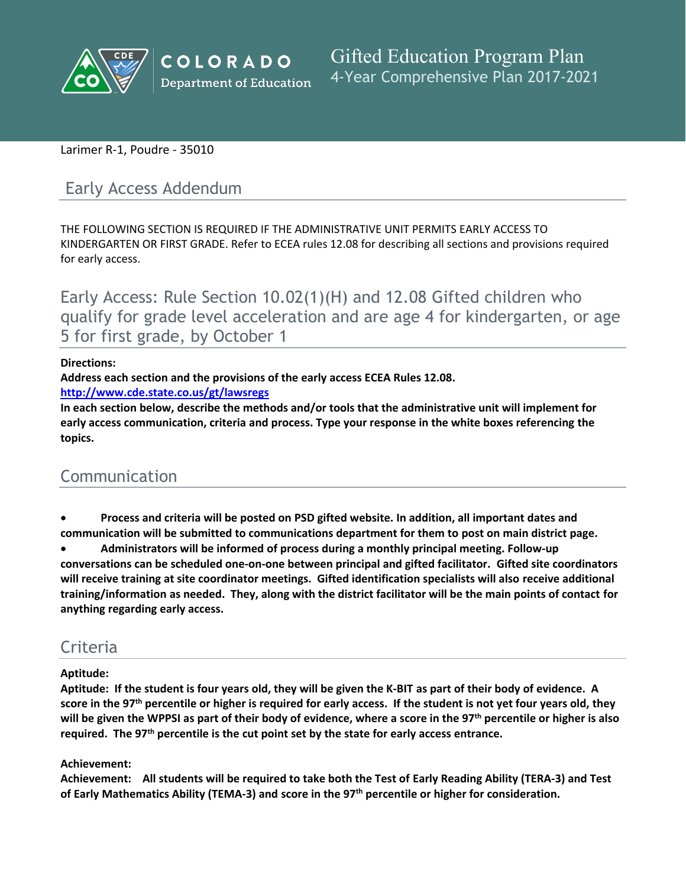

## Larimer R-1, Poudre - 35010

# Early Access Addendum

THE FOLLOWING SECTION IS REQUIRED IF THE ADMINISTRATIVE UNIT PERMITS EARLY ACCESS TO KINDERGARTEN OR FIRST GRADE. Refer to ECEA rules 12.08 for describing all sections and provisions required for early access.

Early Access: Rule Section 10.02(1)(H) and 12.08 Gifted children who qualify for grade level acceleration and are age 4 for kindergarten, or age 5 for first grade, by October 1

#### **Directions:**

**Address each section and the provisions of the early access ECEA Rules 12.08.**

**<http://www.cde.state.co.us/gt/lawsregs>**

**In each section below, describe the methods and/or tools that the administrative unit will implement for early access communication, criteria and process. Type your response in the white boxes referencing the topics.**

# Communication

#### **Process and criteria will be posted on PSD gifted website. In addition, all important dates and communication will be submitted to communications department for them to post on main district page.**

 **Administrators will be informed of process during a monthly principal meeting. Follow-up conversations can be scheduled one-on-one between principal and gifted facilitator. Gifted site coordinators will receive training at site coordinator meetings. Gifted identification specialists will also receive additional** training/information as needed. They, along with the district facilitator will be the main points of contact for **anything regarding early access.**

# **Criteria**

#### **Aptitude:**

Aptitude: If the student is four years old, they will be given the K-BIT as part of their body of evidence. A score in the 97<sup>th</sup> percentile or higher is required for early access. If the student is not yet four years old, they will be given the WPPSI as part of their body of evidence, where a score in the 97<sup>th</sup> percentile or higher is also **required. The 97th percentile is the cut point set by the state for early access entrance.**

### **Achievement:**

Achievement: All students will be required to take both the Test of Early Reading Ability (TERA-3) and Test **of Early Mathematics Ability (TEMA-3) and score in the 97th percentile or higher for consideration.**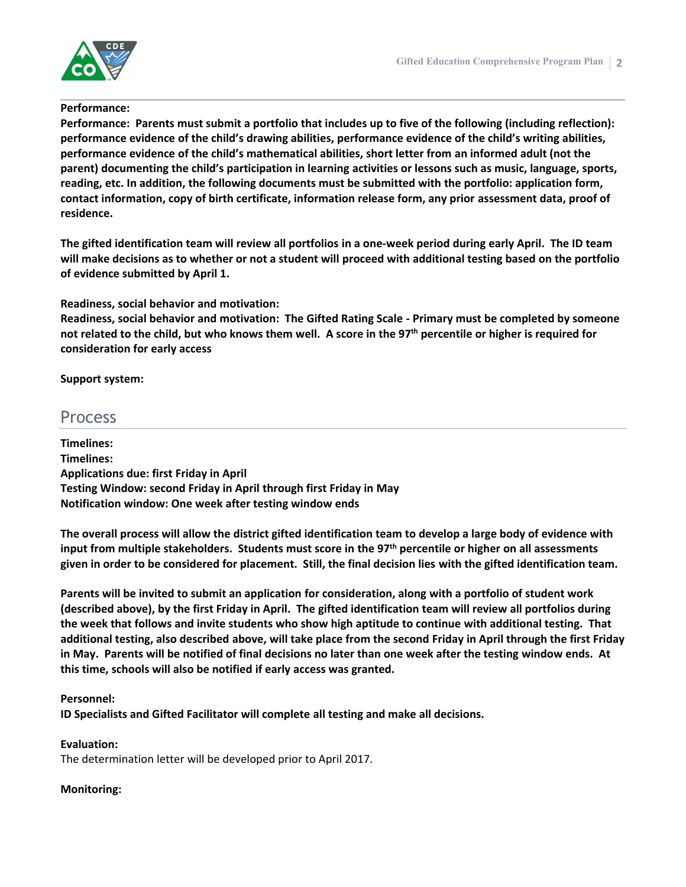



#### **Performance:**

**Performance: Parents must submit a portfolio that includes up to five of the following (including reflection): performance evidence of the child's drawing abilities, performance evidence of the child's writing abilities, performance evidence of the child's mathematical abilities, short letter from an informed adult (not the parent) documenting the child's participation in learning activities or lessons such as music, language, sports, reading, etc. In addition, the following documents must be submitted with the portfolio: application form, contact information, copy of birth certificate, information release form, any prior assessment data, proof of residence.**

The gifted identification team will review all portfolios in a one-week period during early April. The ID team will make decisions as to whether or not a student will proceed with additional testing based on the portfolio **of evidence submitted by April 1.**

**Readiness, social behavior and motivation:**

**Readiness, social behavior and motivation: The Gifted Rating Scale - Primary must be completed by someone** not related to the child, but who knows them well. A score in the 97<sup>th</sup> percentile or higher is required for **consideration for early access**

**Support system:**

# Process

**Timelines: Timelines: Applications due: first Friday in April Testing Window: second Friday in April through first Friday in May Notification window: One week after testing window ends**

The overall process will allow the district gifted identification team to develop a large body of evidence with **input from multiple stakeholders. Students must score in the 97th percentile or higher on all assessments** given in order to be considered for placement. Still, the final decision lies with the gifted identification team.

Parents will be invited to submit an application for consideration, along with a portfolio of student work (described above), by the first Friday in April. The gifted identification team will review all portfolios during the week that follows and invite students who show high aptitude to continue with additional testing. That additional testing, also described above, will take place from the second Friday in April through the first Friday in May. Parents will be notified of final decisions no later than one week after the testing window ends. At **this time, schools will also be notified if early access was granted.**

### **Personnel:**

**ID Specialists and Gifted Facilitator will complete all testing and make all decisions.**

**Evaluation:**

The determination letter will be developed prior to April 2017.

### **Monitoring:**